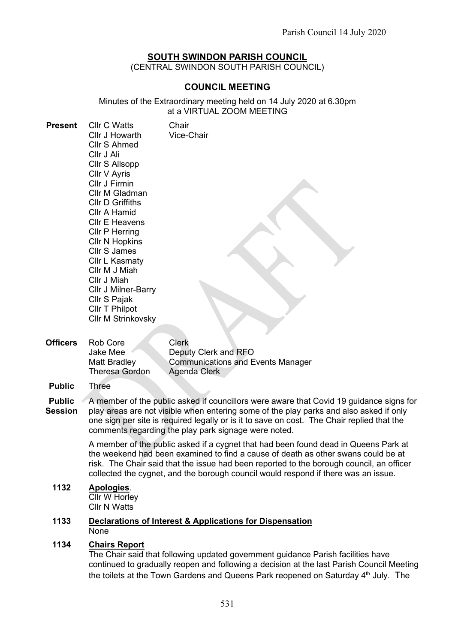# SOUTH SWINDON PARISH COUNCIL

(CENTRAL SWINDON SOUTH PARISH COUNCIL)

# COUNCIL MEETING

Minutes of the Extraordinary meeting held on 14 July 2020 at 6.30pm at a VIRTUAL ZOOM MEETING

| <b>Present</b>  | <b>Cllr C Watts</b><br>Cllr J Howarth<br>Cllr S Ahmed<br>Cllr J Ali<br>Cllr S Allsopp<br>Cllr V Ayris<br>Cllr J Firmin<br>Cllr M Gladman<br><b>CIIr D Griffiths</b><br>Cllr A Hamid<br><b>Cllr E Heavens</b><br><b>Cllr P Herring</b><br><b>CIIr N Hopkins</b><br>Cllr S James<br>Cllr L Kasmaty<br>Cllr M J Miah<br>Cllr J Miah<br>Cllr J Milner-Barry<br>Cllr S Pajak<br>Cllr T Philpot<br><b>Cllr M Strinkovsky</b> | Chair<br>Vice-Chair                                                       |
|-----------------|------------------------------------------------------------------------------------------------------------------------------------------------------------------------------------------------------------------------------------------------------------------------------------------------------------------------------------------------------------------------------------------------------------------------|---------------------------------------------------------------------------|
| <b>Officers</b> | Rob Core<br>Jake Mee<br>Matt Bradlev                                                                                                                                                                                                                                                                                                                                                                                   | <b>Clerk</b><br>Deputy Clerk and RFO<br>Communications and Events Manager |

Matt Bradley Theresa Gordon ımunications and Events Manager Agenda Clerk

A member of the public asked if a cygnet that had been found dead in Queens Park at the weekend had been examined to find a cause of death as other swans could be at risk. The Chair said that the issue had been reported to the borough council, an officer collected the cygnet, and the borough council would respond if there was an issue.

1132 Apologies. **Cllr W Horley** Cllr N Watts

## 1133 Declarations of Interest & Applications for Dispensation **None**

## 1134 Chairs Report

The Chair said that following updated government guidance Parish facilities have continued to gradually reopen and following a decision at the last Parish Council Meeting the toilets at the Town Gardens and Queens Park reopened on Saturday 4<sup>th</sup> July. The

Public Three

Public **4** Session A member of the public asked if councillors were aware that Covid 19 guidance signs for play areas are not visible when entering some of the play parks and also asked if only one sign per site is required legally or is it to save on cost. The Chair replied that the comments regarding the play park signage were noted.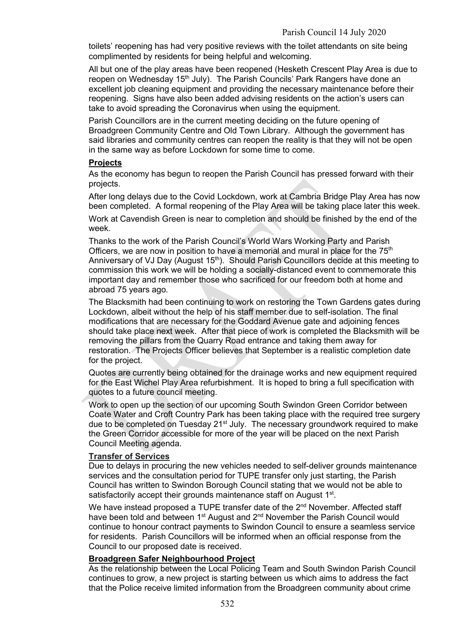toilets' reopening has had very positive reviews with the toilet attendants on site being complimented by residents for being helpful and welcoming.

All but one of the play areas have been reopened (Hesketh Crescent Play Area is due to reopen on Wednesday 15<sup>th</sup> July). The Parish Councils' Park Rangers have done an excellent job cleaning equipment and providing the necessary maintenance before their reopening. Signs have also been added advising residents on the action's users can take to avoid spreading the Coronavirus when using the equipment.

Parish Councillors are in the current meeting deciding on the future opening of Broadgreen Community Centre and Old Town Library. Although the government has said libraries and community centres can reopen the reality is that they will not be open in the same way as before Lockdown for some time to come.

## **Projects**

As the economy has begun to reopen the Parish Council has pressed forward with their projects.

After long delays due to the Covid Lockdown, work at Cambria Bridge Play Area has now been completed. A formal reopening of the Play Area will be taking place later this week.

Work at Cavendish Green is near to completion and should be finished by the end of the week.

Thanks to the work of the Parish Council's World Wars Working Party and Parish Officers, we are now in position to have a memorial and mural in place for the 75<sup>th</sup> Anniversary of VJ Day (August 15<sup>th</sup>). Should Parish Councillors decide at this meeting to commission this work we will be holding a socially-distanced event to commemorate this important day and remember those who sacrificed for our freedom both at home and abroad 75 years ago.

The Blacksmith had been continuing to work on restoring the Town Gardens gates during Lockdown, albeit without the help of his staff member due to self-isolation. The final modifications that are necessary for the Goddard Avenue gate and adjoining fences should take place next week. After that piece of work is completed the Blacksmith will be removing the pillars from the Quarry Road entrance and taking them away for restoration. The Projects Officer believes that September is a realistic completion date for the project.

Quotes are currently being obtained for the drainage works and new equipment required for the East Wichel Play Area refurbishment. It is hoped to bring a full specification with quotes to a future council meeting.

Work to open up the section of our upcoming South Swindon Green Corridor between Coate Water and Croft Country Park has been taking place with the required tree surgery due to be completed on Tuesday 21<sup>st</sup> July. The necessary groundwork required to make the Green Corridor accessible for more of the year will be placed on the next Parish Council Meeting agenda.

## Transfer of Services

Due to delays in procuring the new vehicles needed to self-deliver grounds maintenance services and the consultation period for TUPE transfer only just starting, the Parish Council has written to Swindon Borough Council stating that we would not be able to satisfactorily accept their grounds maintenance staff on August 1<sup>st</sup>.

We have instead proposed a TUPE transfer date of the 2<sup>nd</sup> November. Affected staff have been told and between  $1<sup>st</sup>$  August and  $2<sup>nd</sup>$  November the Parish Council would continue to honour contract payments to Swindon Council to ensure a seamless service for residents. Parish Councillors will be informed when an official response from the Council to our proposed date is received.

# Broadgreen Safer Neighbourhood Project

As the relationship between the Local Policing Team and South Swindon Parish Council continues to grow, a new project is starting between us which aims to address the fact that the Police receive limited information from the Broadgreen community about crime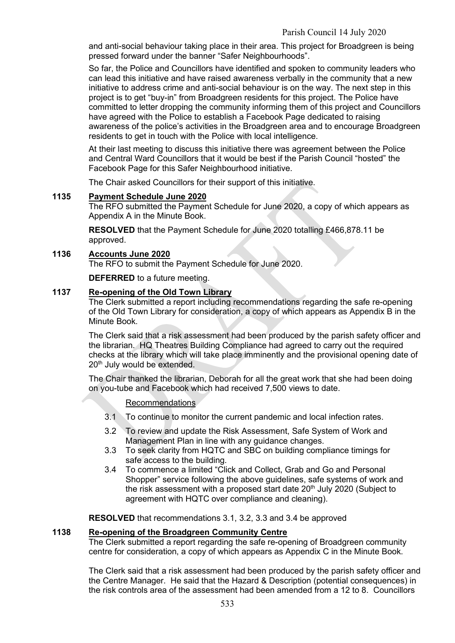and anti-social behaviour taking place in their area. This project for Broadgreen is being pressed forward under the banner "Safer Neighbourhoods".

So far, the Police and Councillors have identified and spoken to community leaders who can lead this initiative and have raised awareness verbally in the community that a new initiative to address crime and anti-social behaviour is on the way. The next step in this project is to get "buy-in" from Broadgreen residents for this project. The Police have committed to letter dropping the community informing them of this project and Councillors have agreed with the Police to establish a Facebook Page dedicated to raising awareness of the police's activities in the Broadgreen area and to encourage Broadgreen residents to get in touch with the Police with local intelligence.

At their last meeting to discuss this initiative there was agreement between the Police and Central Ward Councillors that it would be best if the Parish Council "hosted" the Facebook Page for this Safer Neighbourhood initiative.

The Chair asked Councillors for their support of this initiative.

#### 1135 Payment Schedule June 2020

The RFO submitted the Payment Schedule for June 2020, a copy of which appears as Appendix A in the Minute Book.

RESOLVED that the Payment Schedule for June 2020 totalling £466,878.11 be approved.

#### 1136 Accounts June 2020

The RFO to submit the Payment Schedule for June 2020.

DEFERRED to a future meeting.

### 1137 Re-opening of the Old Town Library

The Clerk submitted a report including recommendations regarding the safe re-opening of the Old Town Library for consideration, a copy of which appears as Appendix B in the Minute Book.

The Clerk said that a risk assessment had been produced by the parish safety officer and the librarian. HQ Theatres Building Compliance had agreed to carry out the required checks at the library which will take place imminently and the provisional opening date of 20<sup>th</sup> July would be extended.

The Chair thanked the librarian, Deborah for all the great work that she had been doing on you-tube and Facebook which had received 7,500 views to date.

#### Recommendations

- 3.1 To continue to monitor the current pandemic and local infection rates.
- 3.2 To review and update the Risk Assessment, Safe System of Work and Management Plan in line with any guidance changes.
- 3.3 To seek clarity from HQTC and SBC on building compliance timings for safe access to the building.
- 3.4 To commence a limited "Click and Collect, Grab and Go and Personal Shopper" service following the above guidelines, safe systems of work and the risk assessment with a proposed start date  $20<sup>th</sup>$  July 2020 (Subject to agreement with HQTC over compliance and cleaning).

RESOLVED that recommendations 3.1, 3.2, 3.3 and 3.4 be approved

#### 1138 Re-opening of the Broadgreen Community Centre

The Clerk submitted a report regarding the safe re-opening of Broadgreen community centre for consideration, a copy of which appears as Appendix C in the Minute Book.

The Clerk said that a risk assessment had been produced by the parish safety officer and the Centre Manager. He said that the Hazard & Description (potential consequences) in the risk controls area of the assessment had been amended from a 12 to 8. Councillors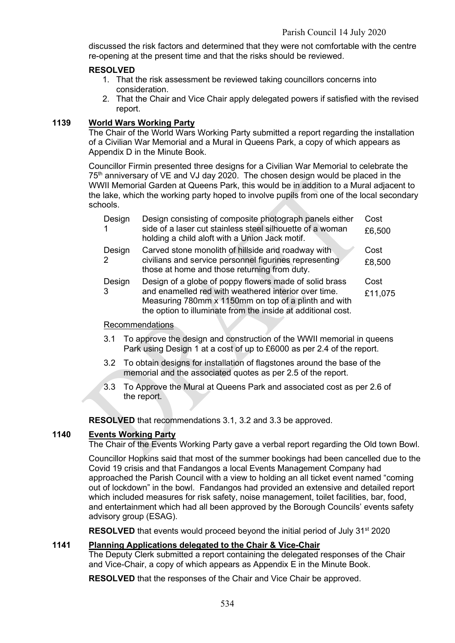discussed the risk factors and determined that they were not comfortable with the centre re-opening at the present time and that the risks should be reviewed.

## RESOLVED

- 1. That the risk assessment be reviewed taking councillors concerns into consideration.
- 2. That the Chair and Vice Chair apply delegated powers if satisfied with the revised report.

## 1139 World Wars Working Party

The Chair of the World Wars Working Party submitted a report regarding the installation of a Civilian War Memorial and a Mural in Queens Park, a copy of which appears as Appendix D in the Minute Book.

Councillor Firmin presented three designs for a Civilian War Memorial to celebrate the 75<sup>th</sup> anniversary of VE and VJ day 2020. The chosen design would be placed in the WWII Memorial Garden at Queens Park, this would be in addition to a Mural adjacent to the lake, which the working party hoped to involve pupils from one of the local secondary schools.

| Design<br>-1            | Design consisting of composite photograph panels either<br>side of a laser cut stainless steel silhouette of a woman<br>holding a child aloft with a Union Jack motif.                                                                 | Cost<br>£6,500  |
|-------------------------|----------------------------------------------------------------------------------------------------------------------------------------------------------------------------------------------------------------------------------------|-----------------|
| Design<br>$\mathcal{P}$ | Carved stone monolith of hillside and roadway with<br>civilians and service personnel figurines representing<br>those at home and those returning from duty.                                                                           | Cost<br>£8,500  |
| Design<br>3             | Design of a globe of poppy flowers made of solid brass<br>and enamelled red with weathered interior over time.<br>Measuring 780mm x 1150mm on top of a plinth and with<br>the option to illuminate from the inside at additional cost. | Cost<br>£11,075 |

#### Recommendations

- 3.1 To approve the design and construction of the WWII memorial in queens Park using Design 1 at a cost of up to £6000 as per 2.4 of the report.
- 3.2 To obtain designs for installation of flagstones around the base of the memorial and the associated quotes as per 2.5 of the report.
- 3.3 To Approve the Mural at Queens Park and associated cost as per 2.6 of the report.

RESOLVED that recommendations 3.1, 3.2 and 3.3 be approved.

# 1140 Events Working Party

The Chair of the Events Working Party gave a verbal report regarding the Old town Bowl.

Councillor Hopkins said that most of the summer bookings had been cancelled due to the Covid 19 crisis and that Fandangos a local Events Management Company had approached the Parish Council with a view to holding an all ticket event named "coming out of lockdown" in the bowl. Fandangos had provided an extensive and detailed report which included measures for risk safety, noise management, toilet facilities, bar, food, and entertainment which had all been approved by the Borough Councils' events safety advisory group (ESAG).

RESOLVED that events would proceed beyond the initial period of July 31<sup>st</sup> 2020

## 1141 Planning Applications delegated to the Chair & Vice-Chair

The Deputy Clerk submitted a report containing the delegated responses of the Chair and Vice-Chair, a copy of which appears as Appendix E in the Minute Book.

RESOLVED that the responses of the Chair and Vice Chair be approved.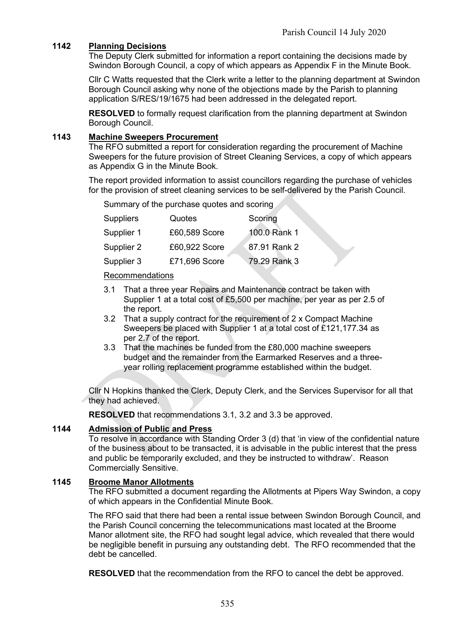# 1142 Planning Decisions

The Deputy Clerk submitted for information a report containing the decisions made by Swindon Borough Council, a copy of which appears as Appendix F in the Minute Book.

Cllr C Watts requested that the Clerk write a letter to the planning department at Swindon Borough Council asking why none of the objections made by the Parish to planning application S/RES/19/1675 had been addressed in the delegated report.

RESOLVED to formally request clarification from the planning department at Swindon Borough Council.

### 1143 Machine Sweepers Procurement

The RFO submitted a report for consideration regarding the procurement of Machine Sweepers for the future provision of Street Cleaning Services, a copy of which appears as Appendix G in the Minute Book.

The report provided information to assist councillors regarding the purchase of vehicles for the provision of street cleaning services to be self-delivered by the Parish Council.

Summary of the purchase quotes and scoring

| <b>Suppliers</b> | <b>Quotes</b> | Scoring      |
|------------------|---------------|--------------|
| Supplier 1       | £60,589 Score | 100.0 Rank 1 |
| Supplier 2       | £60,922 Score | 87.91 Rank 2 |
| Supplier 3       | £71,696 Score | 79.29 Rank 3 |

Recommendations

- 3.1 That a three year Repairs and Maintenance contract be taken with Supplier 1 at a total cost of £5,500 per machine, per year as per 2.5 of the report.
- 3.2 That a supply contract for the requirement of 2 x Compact Machine Sweepers be placed with Supplier 1 at a total cost of £121,177.34 as per 2.7 of the report.
- 3.3 That the machines be funded from the £80,000 machine sweepers budget and the remainder from the Earmarked Reserves and a threeyear rolling replacement programme established within the budget.

Cllr N Hopkins thanked the Clerk, Deputy Clerk, and the Services Supervisor for all that they had achieved.

RESOLVED that recommendations 3.1, 3.2 and 3.3 be approved.

## 1144 Admission of Public and Press

To resolve in accordance with Standing Order 3 (d) that 'in view of the confidential nature of the business about to be transacted, it is advisable in the public interest that the press and public be temporarily excluded, and they be instructed to withdraw'. Reason Commercially Sensitive.

#### 1145 Broome Manor Allotments

The RFO submitted a document regarding the Allotments at Pipers Way Swindon, a copy of which appears in the Confidential Minute Book.

The RFO said that there had been a rental issue between Swindon Borough Council, and the Parish Council concerning the telecommunications mast located at the Broome Manor allotment site, the RFO had sought legal advice, which revealed that there would be negligible benefit in pursuing any outstanding debt. The RFO recommended that the debt be cancelled.

RESOLVED that the recommendation from the RFO to cancel the debt be approved.